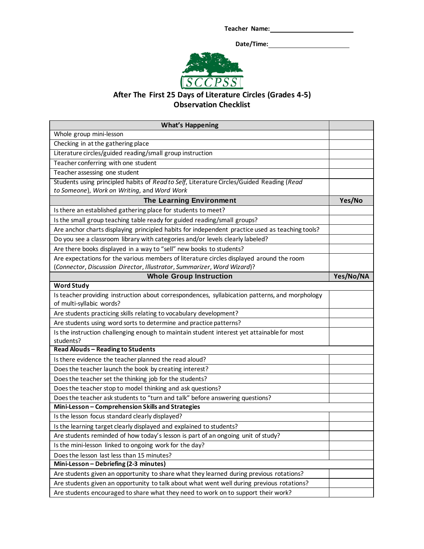**Teacher Name:**

 **Date/Time:**



## **After The First 25 Days of Literature Circles (Grades 4-5) Observation Checklist**

| <b>What's Happening</b>                                                                                                    |           |
|----------------------------------------------------------------------------------------------------------------------------|-----------|
| Whole group mini-lesson                                                                                                    |           |
| Checking in at the gathering place                                                                                         |           |
| Literature circles/guided reading/small group instruction                                                                  |           |
| Teacher conferring with one student                                                                                        |           |
| Teacher assessing one student                                                                                              |           |
| Students using principled habits of Read to Self, Literature Circles/Guided Reading (Read                                  |           |
| to Someone), Work on Writing, and Word Work                                                                                |           |
| The Learning Environment                                                                                                   | Yes/No    |
| Is there an established gathering place for students to meet?                                                              |           |
| Is the small group teaching table ready for guided reading/small groups?                                                   |           |
| Are anchor charts displaying principled habits for independent practice used as teaching tools?                            |           |
| Do you see a classroom library with categories and/or levels clearly labeled?                                              |           |
| Are there books displayed in a way to "sell" new books to students?                                                        |           |
| Are expectations for the various members of literature circles displayed around the room                                   |           |
| (Connector, Discussion Director, Illustrator, Summarizer, Word Wizard)?                                                    |           |
| <b>Whole Group Instruction</b>                                                                                             | Yes/No/NA |
| <b>Word Study</b>                                                                                                          |           |
| Is teacher providing instruction about correspondences, syllabication patterns, and morphology<br>of multi-syllabic words? |           |
| Are students practicing skills relating to vocabulary development?                                                         |           |
| Are students using word sorts to determine and practice patterns?                                                          |           |
| Is the instruction challenging enough to maintain student interest yet attainable for most<br>students?                    |           |
| <b>Read Alouds - Reading to Students</b>                                                                                   |           |
| Is there evidence the teacher planned the read aloud?                                                                      |           |
| Does the teacher launch the book by creating interest?                                                                     |           |
| Does the teacher set the thinking job for the students?                                                                    |           |
| Does the teacher stop to model thinking and ask questions?                                                                 |           |
| Does the teacher ask students to "turn and talk" before answering questions?                                               |           |
| Mini-Lesson - Comprehension Skills and Strategies                                                                          |           |
| Is the lesson focus standard clearly displayed?                                                                            |           |
| Is the learning target clearly displayed and explained to students?                                                        |           |
| Are students reminded of how today's lesson is part of an ongoing unit of study?                                           |           |
| Is the mini-lesson linked to ongoing work for the day?                                                                     |           |
| Does the lesson last less than 15 minutes?                                                                                 |           |
| Mini-Lesson - Debriefing (2-3 minutes)                                                                                     |           |
| Are students given an opportunity to share what they learned during previous rotations?                                    |           |
| Are students given an opportunity to talk about what went well during previous rotations?                                  |           |
| Are students encouraged to share what they need to work on to support their work?                                          |           |